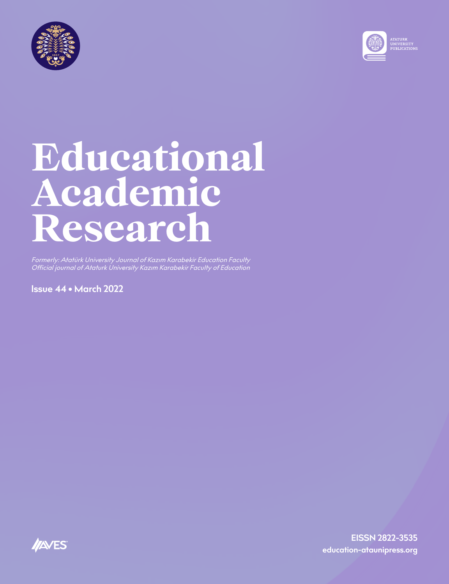



Formerly: Atatürk University Journal of Kazım Karabekir Education Faculty Official journal of Ataturk University Kazım Karabekir Faculty of Education

**Issue 44 • March 2022**

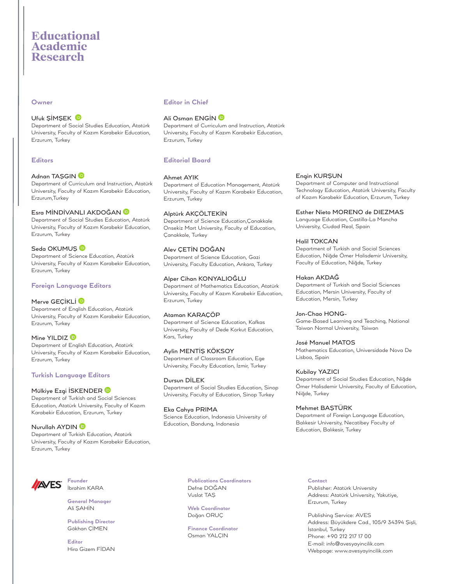#### **Owner**

## Ufuk ŞİMŞEK

Department of Social Studies Education, Atatürk University, Faculty of Kazım Karabekir Education, Erzurum, Turkey

#### **Editors**

#### AdnanTAŞGIN D

Department of Curriculum and Instruction, Atatürk University, Faculty of Kazım Karabekir Education, Erzurum,Turkey

#### Esra MİNDİVANLI AKDOĞAN

Department of Social Studies Education, Atatürk University, Faculty of Kazım Karabekir Education, Erzurum, Turkey

#### SedaOKUMUŞ<sup>D</sup>

Department of Science Education, Atatürk University, Faculty of Kazım Karabekir Education, Erzurum, Turkey

#### **Foreign Language Editors**

#### MerveGECİKLİ D

Department of English Education, Atatürk University, Faculty of Kazım Karabekir Education, Erzurum, Turkey

#### MineYILDIZ<sup>D</sup>

Department of English Education, Atatürk University, Faculty of Kazım Karabekir Education, Erzurum, Turkey

#### **Turkish Language Editors**

#### MülkiyeEzgi İSKENDER<sup>®</sup>

Department of Turkish and Social Sciences Education, Atatürk University, Faculty of Kazım Karabekir Education, Erzurum, Turkey

# Nurullah AYDIN<sup>®</sup>

Department of Turkish Education, Atatürk University, Faculty of Kazım Karabekir Education, Erzurum, Turkey

# **Editor in Chief**

#### AliOsman ENGİN **D**

Department of Curriculum and Instruction, Atatürk University, Faculty of Kazım Karabekir Education, Erzurum, Turkey

# **Editorial Board**

#### Ahmet AYIK

Department of Education Management, Atatürk University, Faculty of Kazım Karabekir Education, Erzurum, Turkey

#### Alptürk AKÇÖLTEKİN

Department of Science Education,Çanakkale Onsekiz Mart University, Faculty of Education, Çanakkale, Turkey

# Alev ÇETİN DOĞAN

Department of Science Education, Gazi University, Faculty Education, Ankara, Turkey

# Alper Cihan KONYALIOĞLU

Department of Mathematics Education, Atatürk University, Faculty of Kazım Karabekir Education, Erzurum, Turkey

#### Ataman KARAÇÖP

Department of Science Education, Kafkas University, Faculty of Dede Korkut Education, Kars, Turkey

## Aylin MENTİŞ KÖKSOY

Department of Classroom Education, Ege University, Faculty Education, İzmir, Turkey

Dursun DİLEK Department of Social Studies Education, Sinop University, Faculty of Education, Sinop Turkey

Eka Cahya PRIMA Science Education, Indonesia University of Education, Bandung, Indonesia

## Engin KURŞUN

Department of Computer and Instructional Technology Education, Atatürk University, Faculty of Kazım Karabekir Education, Erzurum, Turkey

#### Esther Nieto MORENO de DIEZMAS

Language Education, Castilla-La Mancha University, Ciudad Real, Spain

#### Halil TOKCAN

Department of Turkish and Social Sciences Education, Niğde Ömer Halisdemir University, Faculty of Education, Niğde, Turkey

#### Hakan AKDAĞ

Department of Turkish and Social Sciences Education, Mersin University, Faculty of Education, Mersin, Turkey

#### Jon-Chao HONG-

Game-Based Learning and Teaching, National Taiwan Normal University, Taiwan

#### José Manuel MATOS

Mathematics Education, Universidade Nova De Lisboa, Spain

## Kubilay YAZICI

Department of Social Studies Education, Niğde Ömer Halisdemir University, Faculty of Education, Niğde, Turkey

#### Mehmet BAŞTÜRK

Department of Foreign Language Education, Balıkesir University, Necatibey Faculty of Education, Balıkesir, Turkey



**Founder** İbrahim KARA

**General Manager** Ali ŞAHİN

**Publishing Director** Gökhan ÇİMEN

**Editor** Hira Gizem FİDAN **Publications Coordinators** Defne DOĞAN Vuslat TAŞ

**Web Coordinator** Doğan ORUÇ

**Finance Coordinator** Osman YALÇIN

**Contact**

Publisher: Atatürk University Address: Atatürk University, Yakutiye, Erzurum, Turkey

Publishing Service: AVES Address: Büyükdere Cad., 105/9 34394 Şişli, İstanbul, Turkey Phone: +90 212 217 17 00 E-mail: info@avesyayincilik.com Webpage: www.avesyayincilik.com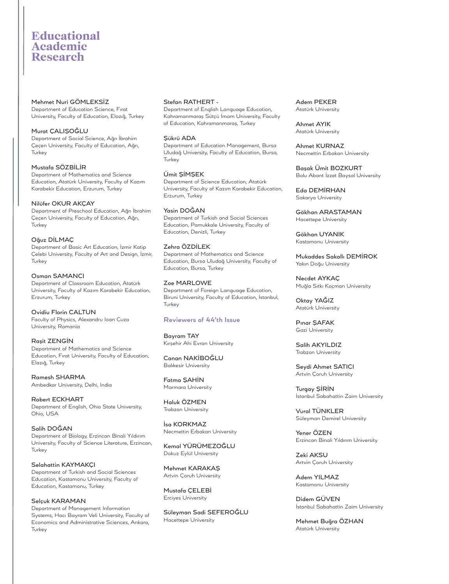#### Mehmet Nuri GÖMLEKSİZ

Department of Education Science, Fırat University, Faculty of Education, Elazığ, Turkey

#### Murat ÇALIŞOĞLU

Department of Social Science, Ağrı İbrahim Çeçen University, Faculty of Education, Ağrı, Turkey

# Mustafa SÖZBİLİR

Department of Mathematics and Science Education, Atatürk University, Faculty of Kazım Karabekir Education, Erzurum, Turkey

#### Nilüfer OKUR AKÇAY

Department of Preschool Education, Ağrı İbrahim Çeçen University, Faculty of Education, Ağrı, **Turkey** 

#### Oğuz DİLMAÇ

Department of Basic Art Education, İzmir Katip Çelebi University, Faculty of Art and Design, İzmir, **Turkey** 

Osman SAMANCI Department of Classroom Education, Atatürk University, Faculty of Kazım Karabekir Education, Erzurum, Turkey

Ovidiu Florin CALTUN Faculty of Physics, Alexandru Ioan Cuza University, Romania

Raşit ZENGİN Department of Mathematics and Science Education, Fırat University, Faculty of Education, Elazığ, Turkey

Ramesh SHARMA Ambedkar University, Delhi, India

Robert ECKHART Department of English, Ohio State University, Ohio, USA

Salih DOĞAN Department of Biology, Erzincan Binali Yıldırım University, Faculty of Science Literature, Erzincan, Turkey

Selahattin KAYMAKÇI Department of Turkish and Social Sciences Education, Kastamonu University, Faculty of Education, Kastamonu, Turkey

Selçuk KARAMAN Department of Management Information Systems, Hacı Bayram Veli University, Faculty of Economics and Administrative Sciences, Ankara, **Turkey** 

#### Stefan RATHERT -

Department of English Language Education, Kahramanmaraş Sütçü İmam University, Faculty of Education, Kahramanmaraş, Turkey

#### Şükrü ADA

Department of Education Management, Bursa Uludağ University, Faculty of Education, Bursa, Turkey

## Ümit ŞİMŞEK

Department of Science Education, Atatürk University, Faculty of Kazım Karabekir Education, Erzurum, Turkey

Yasin DOĞAN Department of Turkish and Social Sciences Education, Pamukkale University, Faculty of Education, Denizli, Turkey

#### Zehra ÖZDİLEK

Department of Mathematics and Science Education, Bursa Uludağ University, Faculty of Education, Bursa, Turkey

#### Zoe MARLOWE

Department of Foreign Language Education, Biruni University, Faculty of Education, İstanbul, **Turkey** 

# **Reviewers of 44'th Issue**

Bayram TAY Kırşehir Ahi Evran University

Canan NAKİBOĞLU Balıkesir University

Fatma ŞAHİN Marmara University

Haluk ÖZMEN Trabzon University

İsa KORKMAZ Necmettin Erbakan University

Kemal YÜRÜMEZOĞLU Dokuz Eylül University

Mehmet KARAKAŞ Artvin Çoruh University

Mustafa ÇELEBİ Erciyes University

Süleyman Sadi SEFEROĞLU Hacettepe University

Adem PEKER Atatürk University

Ahmet AYIK Atatürk University

Ahmet KURNAZ Necmettin Erbakan University

Başak Ümit BOZKURT Bolu Abant İzzet Baysal University

Eda DEMİRHAN Sakarya University

Gökhan ARASTAMAN Hacettepe University

Gökhan UYANIK Kastamonu University

Mukaddes Sakallı DEMİROK Yakın Doğu University

Necdet AYKAÇ Muğla Sıtkı Koçman University

Oktay YAĞIZ Atatürk University

Pınar ŞAFAK Gazi University

Salih AKYILDIZ Trabzon University

Seydi Ahmet SATICI Artvin Çoruh University

Turgay ŞİRİN İstanbul Sabahattin Zaim University

Vural TÜNKLER Süleyman Demirel University

Yener ÖZEN Erzincan Binali Yıldırım University

Zeki AKSU Artvin Çoruh University

Adem YILMAZ Kastamonu University

Didem GÜVEN İstanbul Sabahattin Zaim University

Mehmet Buğra ÖZHAN Atatürk University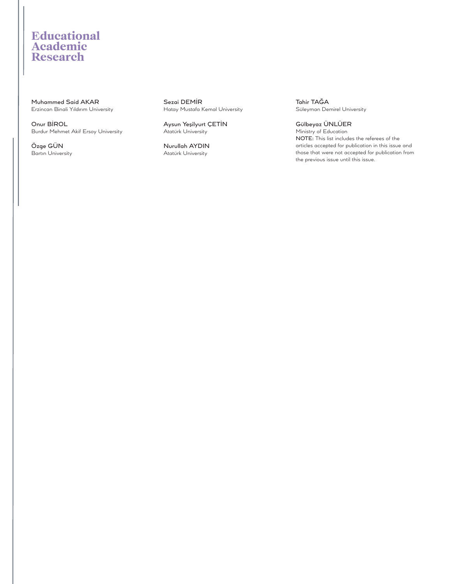Muhammed Said AKAR Erzincan Binali Yıldırım University

Onur BİROL Burdur Mehmet Akif Ersoy University

Özge GÜN Bartın University

Sezai DEMİR Hatay Mustafa Kemal University

Aysun Yeşilyurt ÇETİN Atatürk University

Nurullah AYDIN Atatürk University

Tahir TAĞA Süleyman Demirel University

Gülbeyaz ÜNLÜER Ministry of Education NOTE: This list includes the referees of the articles accepted for publication in this issue and those that were not accepted for publication from the previous issue until this issue.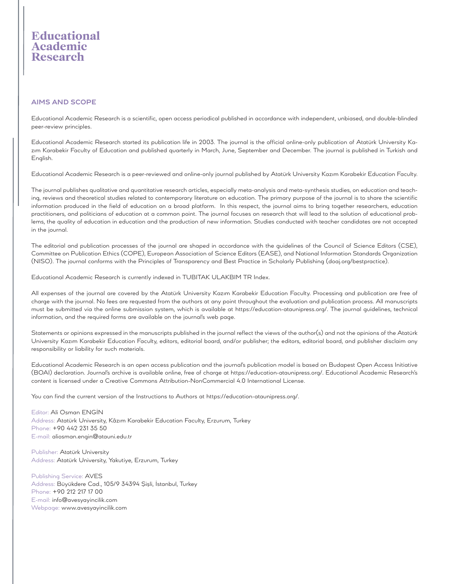# **AIMS AND SCOPE**

Educational Academic Research is a scientific, open access periodical published in accordance with independent, unbiased, and double-blinded peer-review principles.

Educational Academic Research started its publication life in 2003. The journal is the official online-only publication of Atatürk University Kazım Karabekir Faculty of Education and published quarterly in March, June, September and December. The journal is published in Turkish and English.

Educational Academic Research is a peer-reviewed and online-only journal published by Atatürk University Kazım Karabekir Education Faculty.

The journal publishes qualitative and quantitative research articles, especially meta-analysis and meta-synthesis studies, on education and teaching, reviews and theoretical studies related to contemporary literature on education. The primary purpose of the journal is to share the scientific information produced in the field of education on a broad platform. In this respect, the journal aims to bring together researchers, education practitioners, and politicians of education at a common point. The journal focuses on research that will lead to the solution of educational problems, the quality of education in education and the production of new information. Studies conducted with teacher candidates are not accepted in the journal.

The editorial and publication processes of the journal are shaped in accordance with the guidelines of the Council of Science Editors (CSE), Committee on Publication Ethics (COPE), European Association of Science Editors (EASE), and National Information Standards Organization (NISO). The journal conforms with the Principles of Transparency and Best Practice in Scholarly Publishing (doaj.org/bestpractice).

Educational Academic Research is currently indexed in TUBITAK ULAKBIM TR Index.

All expenses of the journal are covered by the Atatürk University Kazım Karabekir Education Faculty. Processing and publication are free of charge with the journal. No fees are requested from the authors at any point throughout the evaluation and publication process. All manuscripts must be submitted via the online submission system, which is available at https://education-ataunipress.org/. The journal guidelines, technical information, and the required forms are available on the journal's web page.

Statements or opinions expressed in the manuscripts published in the journal reflect the views of the author(s) and not the opinions of the Atatürk University Kazım Karabekir Education Faculty, editors, editorial board, and/or publisher; the editors, editorial board, and publisher disclaim any responsibility or liability for such materials.

Educational Academic Research is an open access publication and the journal's publication model is based on Budapest Open Access Initiative (BOAI) declaration. Journal's archive is available online, free of charge at https://education-ataunipress.org/. Educational Academic Research's content is licensed under a Creative Commons Attribution-NonCommercial 4.0 International License.

You can find the current version of the Instructions to Authors at https://education-ataunipress.org/.

Editor: Ali Osman ENGİN Address: Atatürk University, Kâzım Karabekir Education Faculty, Erzurum, Turkey Phone: +90 442 231 35 50 E-mail: aliosman.engin@atauni.edu.tr

Publisher: Atatürk University Address: Atatürk University, Yakutiye, Erzurum, Turkey

Publishing Service: AVES Address: Büyükdere Cad., 105/9 34394 Şişli, İstanbul, Turkey Phone: +90 212 217 17 00 E-mail: info@avesyayincilik.com Webpage: www.avesyayincilik.com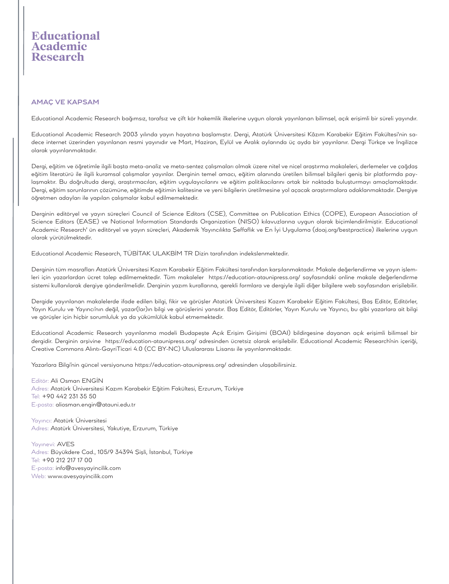# **AMAÇ VE KAPSAM**

Educational Academic Research bağımsız, tarafsız ve çift kör hakemlik ilkelerine uygun olarak yayınlanan bilimsel, açık erişimli bir süreli yayındır.

Educational Academic Research 2003 yılında yayın hayatına başlamıştır. Dergi, Atatürk Üniversitesi Kâzım Karabekir Eğitim Fakültesi'nin sadece internet üzerinden yayınlanan resmi yayınıdır ve Mart, Haziran, Eylül ve Aralık aylarında üç ayda bir yayınlanır. Dergi Türkçe ve İngilizce olarak yayınlanmaktadır.

Dergi, eğitim ve öğretimle ilgili başta meta-analiz ve meta-sentez çalışmaları olmak üzere nitel ve nicel araştırma makaleleri, derlemeler ve çağdaş eğitim literatürü ile ilgili kuramsal çalışmalar yayınlar. Derginin temel amacı, eğitim alanında üretilen bilimsel bilgileri geniş bir platformda paylaşmaktır. Bu doğrultuda dergi, araştırmacıları, eğitim uygulayıcılarını ve eğitim politikacılarını ortak bir noktada buluşturmayı amaçlamaktadır. Dergi, eğitim sorunlarının çözümüne, eğitimde eğitimin kalitesine ve yeni bilgilerin üretilmesine yol açacak araştırmalara odaklanmaktadır. Dergiye öğretmen adayları ile yapılan çalışmalar kabul edilmemektedir.

Derginin editöryel ve yayın süreçleri Council of Science Editors (CSE), Committee on Publication Ethics (COPE), European Association of Science Editors (EASE) ve National Information Standards Organization (NISO) kılavuzlarına uygun olarak biçimlendirilmiştir. Educational Academic Research' ün editöryel ve yayın süreçleri, Akademik Yayıncılıkta Şeffaflık ve En İyi Uygulama (doaj.org/bestpractice) ilkelerine uygun olarak yürütülmektedir.

Educational Academic Research, TÜBİTAK ULAKBİM TR Dizin tarafından indekslenmektedir.

Derginin tüm masrafları Atatürk Üniversitesi Kazım Karabekir Eğitim Fakültesi tarafından karşılanmaktadır. Makale değerlendirme ve yayın işlemleri için yazarlardan ücret talep edilmemektedir. Tüm makaleler https://education-ataunipress.org/ sayfasındaki online makale değerlendirme sistemi kullanılarak dergiye gönderilmelidir. Derginin yazım kurallarına, gerekli formlara ve dergiyle ilgili diğer bilgilere web sayfasından erişilebilir.

Dergide yayınlanan makalelerde ifade edilen bilgi, fikir ve görüşler Atatürk Üniversitesi Kazım Karabekir Eğitim Fakültesi, Baş Editör, Editörler, Yayın Kurulu ve Yayıncı'nın değil, yazar(lar)ın bilgi ve görüşlerini yansıtır. Baş Editör, Editörler, Yayın Kurulu ve Yayıncı, bu gibi yazarlara ait bilgi ve görüşler için hiçbir sorumluluk ya da yükümlülük kabul etmemektedir.

Educational Academic Research yayınlanma modeli Budapeşte Açık Erişim Girişimi (BOAI) bildirgesine dayanan açık erişimli bilimsel bir dergidir. Derginin arşivine https://education-ataunipress.org/ adresinden ücretsiz olarak erişilebilir. Educational Academic Research'nin içeriği, Creative Commons Alıntı-GayriTicari 4.0 (CC BY-NC) Uluslararası Lisansı ile yayınlanmaktadır.

Yazarlara Bilgi'nin güncel versiyonuna https://education-ataunipress.org/ adresinden ulaşabilirsiniz.

Editör: Ali Osman ENGİN Adres: Atatürk Üniversitesi Kazım Karabekir Eğitim Fakültesi, Erzurum, Türkiye Tel: +90 442 231 35 50 E-posta: aliosman.engin@atauni.edu.tr

Yayıncı: Atatürk Üniversitesi Adres: Atatürk Üniversitesi, Yakutiye, Erzurum, Türkiye

Yayınevi: AVES Adres: Büyükdere Cad., 105/9 34394 Şişli, İstanbul, Türkiye Tel: +90 212 217 17 00 E-posta: info@avesyayincilik.com Web: www.avesyayincilik.com